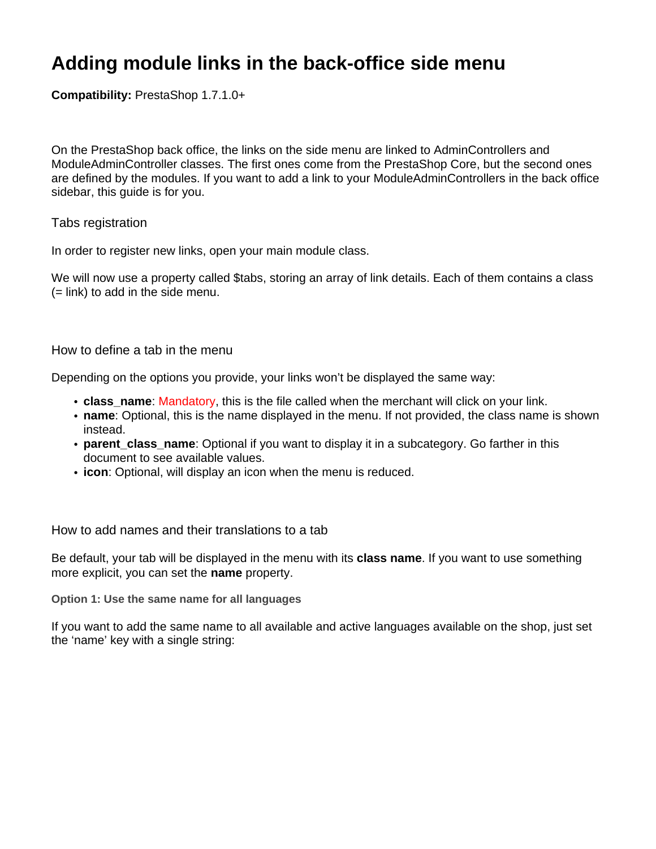## **Adding module links in the back-office side menu**

**Compatibility:** PrestaShop 1.7.1.0+

On the PrestaShop back office, the links on the side menu are linked to AdminControllers and ModuleAdminController classes. The first ones come from the PrestaShop Core, but the second ones are defined by the modules. If you want to add a link to your ModuleAdminControllers in the back office sidebar, this guide is for you.

## Tabs registration

In order to register new links, open your main module class.

We will now use a property called \$tabs, storing an array of link details. Each of them contains a class (= link) to add in the side menu.

## How to define a tab in the menu

Depending on the options you provide, your links won't be displayed the same way:

- **class name**: Mandatory, this is the file called when the merchant will click on your link.
- **name**: Optional, this is the name displayed in the menu. If not provided, the class name is shown instead.
- **parent class name**: Optional if you want to display it in a subcategory. Go farther in this document to see available values.
- **icon**: Optional, will display an icon when the menu is reduced.

How to add names and their translations to a tab

Be default, your tab will be displayed in the menu with its **class name**. If you want to use something more explicit, you can set the **name** property.

**Option 1: Use the same name for all languages**

If you want to add the same name to all available and active languages available on the shop, just set the 'name' key with a single string: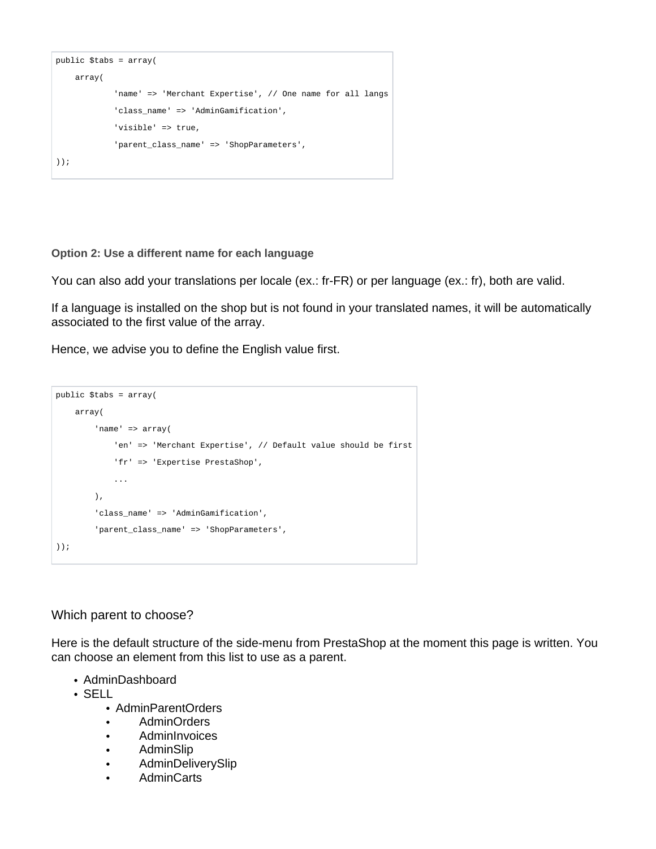```
public $tabs = array(
    array(
             'name' => 'Merchant Expertise', // One name for all langs
             'class_name' => 'AdminGamification',
             'visible' => true,
             'parent_class_name' => 'ShopParameters',
));
```
**Option 2: Use a different name for each language**

You can also add your translations per locale (ex.: fr-FR) or per language (ex.: fr), both are valid.

If a language is installed on the shop but is not found in your translated names, it will be automatically associated to the first value of the array.

Hence, we advise you to define the English value first.

```
public $tabs = array(
     array(
         'name' => array(
              'en' => 'Merchant Expertise', // Default value should be first
             'fr' => 'Expertise PrestaShop',
             ...
        \lambda.
         'class_name' => 'AdminGamification',
         'parent_class_name' => 'ShopParameters',
));
```
Which parent to choose?

Here is the default structure of the side-menu from PrestaShop at the moment this page is written. You can choose an element from this list to use as a parent.

- AdminDashboard
- $\cdot$  SELL.
	- AdminParentOrders
	- AdminOrders
	- **AdminInvoices**
	- AdminSlip
	- AdminDeliverySlip
	- **AdminCarts**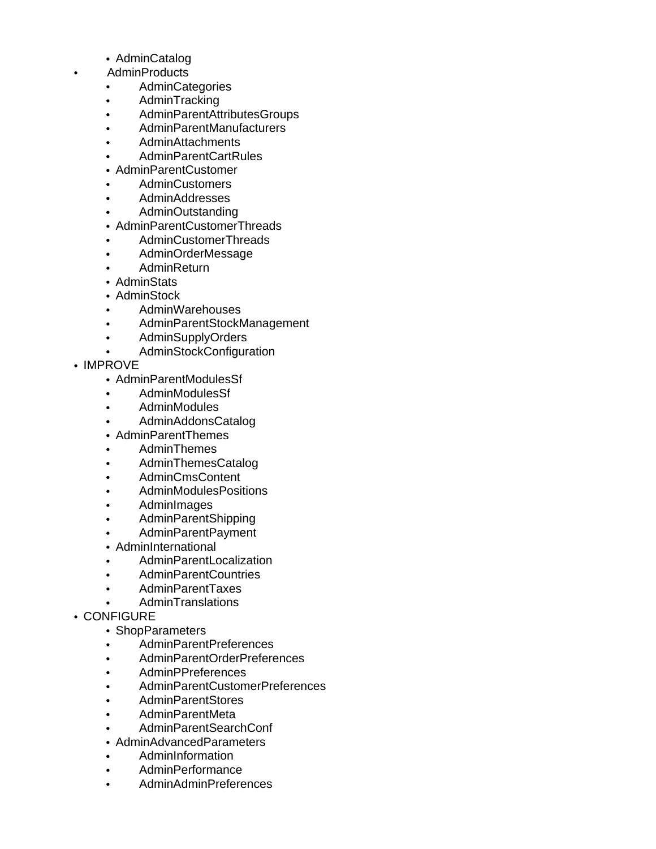- AdminCatalog
- AdminProducts
	- **AdminCategories**  $\bullet$
	- AdminTracking  $\bullet$
	- AdminParentAttributesGroups
	- AdminParentManufacturers
	- AdminAttachments
	- AdminParentCartRules
	- AdminParentCustomer
	- AdminCustomers
	- AdminAddresses
	- AdminOutstanding
	- AdminParentCustomerThreads
	- AdminCustomerThreads
	- AdminOrderMessage
	- AdminReturn
	- AdminStats
	- AdminStock
	- AdminWarehouses
	- AdminParentStockManagement
	- AdminSupplyOrders
	- AdminStockConfiguration
- IMPROVE
	- AdminParentModulesSf
	- AdminModulesSf
	- AdminModules
	- AdminAddonsCatalog
	- AdminParentThemes
	- AdminThemes  $\bullet$
	- AdminThemesCatalog  $\bullet$
	- AdminCmsContent
	- AdminModulesPositions
	- **AdminImages**
	- AdminParentShipping
	- AdminParentPayment
	- AdminInternational
	- AdminParentLocalization
	- AdminParentCountries
	- AdminParentTaxes
	- AdminTranslations
- CONFIGURE
	- ShopParameters
	- AdminParentPreferences
	- AdminParentOrderPreferences
	- AdminPPreferences
	- AdminParentCustomerPreferences
	- AdminParentStores
	- AdminParentMeta
	- AdminParentSearchConf
	- AdminAdvancedParameters
	- AdminInformation
	- AdminPerformance
	- AdminAdminPreferences